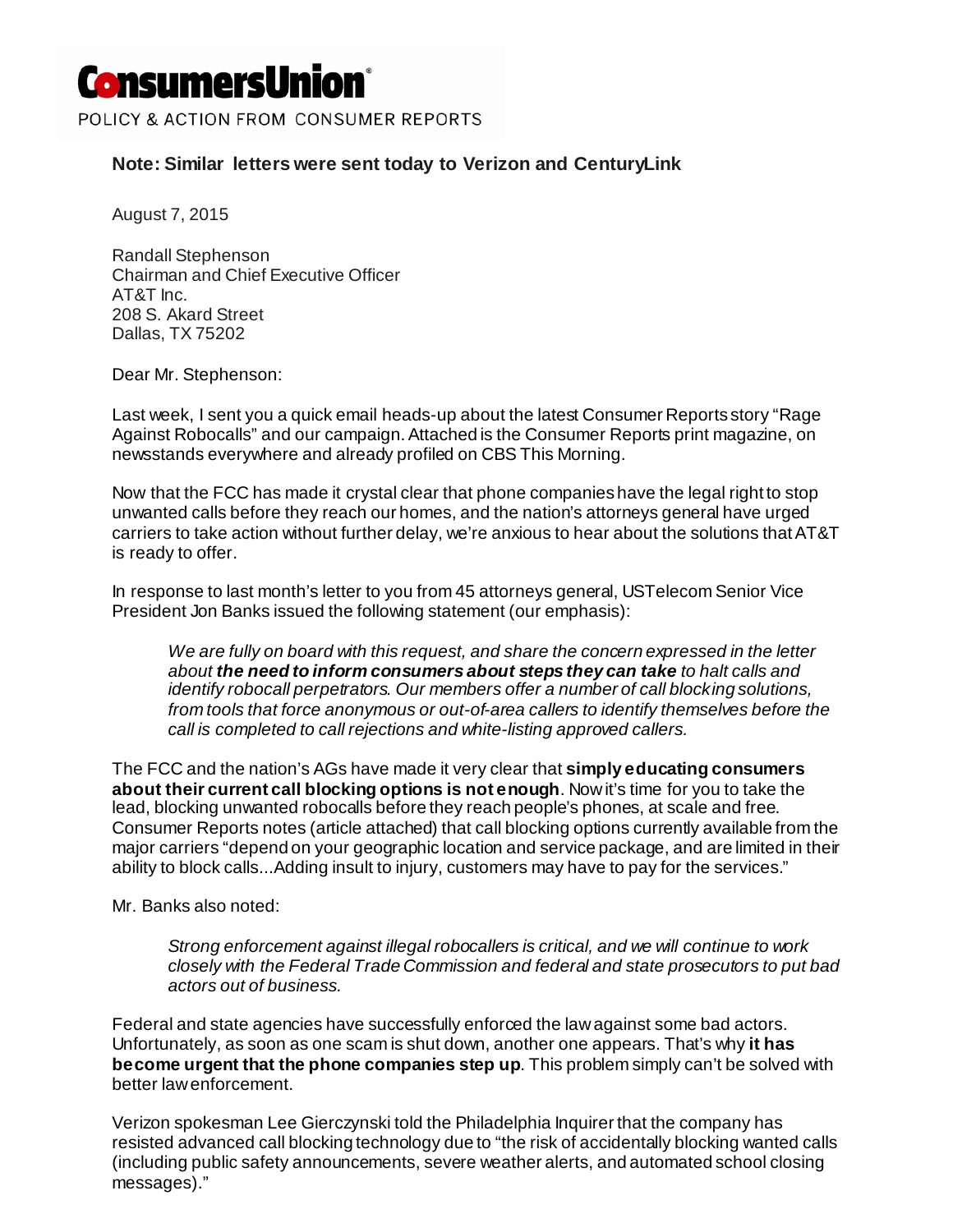## **ConsumersUnion**®

POLICY & ACTION FROM CONSUMER REPORTS

## **Note: Similar letters were sent today to Verizon and CenturyLink**

August 7, 2015

Randall Stephenson Chairman and Chief Executive Officer AT&T Inc. 208 S. Akard Street Dallas, TX 75202

Dear Mr. Stephenson:

Last week, I sent you a quick email heads-up about the latest Consumer Reports story "Rage Against Robocalls" and our campaign. Attached is the Consumer Reports print magazine, on newsstands everywhere and already profiled on CBS This Morning.

Now that the FCC has made it crystal clear that phone companies have the legal right to stop unwanted calls before they reach our homes, and the nation's attorneys general have urged carriers to take action without further delay, we're anxious to hear about the solutions that AT&T is ready to offer.

In response to last month's letter to you from 45 attorneys general, USTelecom Senior Vice President Jon Banks issued the following statement (our emphasis):

*We are fully on board with this request, and share the concern expressed in the letter about the need to inform consumers about steps they can take to halt calls and identify robocall perpetrators. Our members offer a number of call blocking solutions, from tools that force anonymous or out-of-area callers to identify themselves before the call is completed to call rejections and white-listing approved callers.*

The FCC and the nation's AGs have made it very clear that **simply educating consumers about their current call blocking options is not enough**. Now it's time for you to take the lead, blocking unwanted robocalls before they reach people's phones, at scale and free. Consumer Reports notes (article attached) that call blocking options currently available from the major carriers "depend on your geographic location and service package, and are limited in their ability to block calls...Adding insult to injury, customers may have to pay for the services."

Mr. Banks also noted:

*Strong enforcement against illegal robocallers is critical, and we will continue to work closely with the Federal Trade Commission and federal and state prosecutors to put bad actors out of business.*

Federal and state agencies have successfully enforced the law against some bad actors. Unfortunately, as soon as one scam is shut down, another one appears. That's why **it has become urgent that the phone companies step up**. This problem simply can't be solved with better law enforcement.

Verizon spokesman Lee Gierczynski told the Philadelphia Inquirer that the company has resisted advanced call blocking technology due to "the risk of accidentally blocking wanted calls (including public safety announcements, severe weather alerts, and automated school closing messages)."